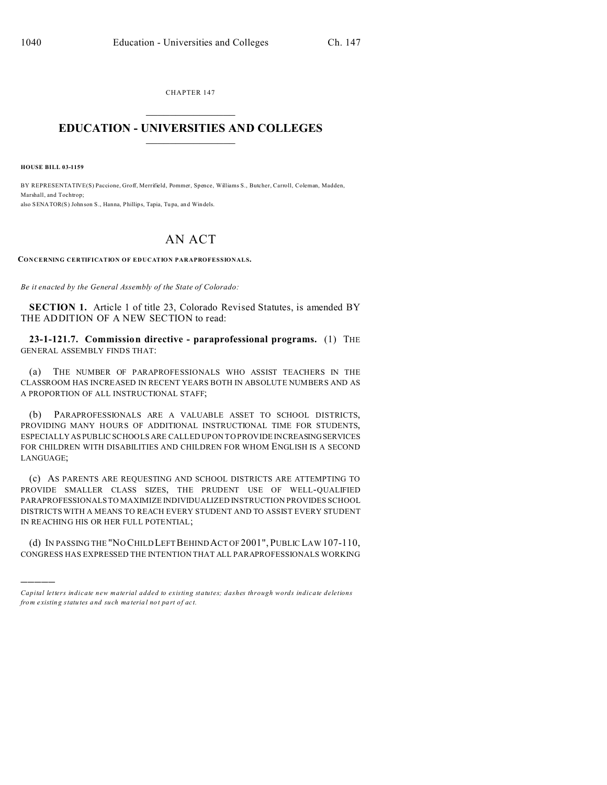CHAPTER 147  $\overline{\phantom{a}}$  , where  $\overline{\phantom{a}}$ 

## **EDUCATION - UNIVERSITIES AND COLLEGES**  $\frac{1}{2}$

**HOUSE BILL 03-1159**

)))))

BY REPRESENTATIVE(S) Paccione, Groff, Merrifield, Pommer, Spence, Williams S., Butcher, Carroll, Coleman, Madden, Marshall, and Tochtrop; also SENATOR(S) John son S., Hanna, Phillips, Tapia, Tu pa, an d Windels.

## AN ACT

**CONCERNING CERTIFICATION OF EDUCATION PARAPROFESSIONALS.**

*Be it enacted by the General Assembly of the State of Colorado:*

**SECTION 1.** Article 1 of title 23, Colorado Revised Statutes, is amended BY THE ADDITION OF A NEW SECTION to read:

**23-1-121.7. Commission directive - paraprofessional programs.** (1) THE GENERAL ASSEMBLY FINDS THAT:

(a) THE NUMBER OF PARAPROFESSIONALS WHO ASSIST TEACHERS IN THE CLASSROOM HAS INCREASED IN RECENT YEARS BOTH IN ABSOLUTE NUMBERS AND AS A PROPORTION OF ALL INSTRUCTIONAL STAFF;

(b) PARAPROFESSIONALS ARE A VALUABLE ASSET TO SCHOOL DISTRICTS, PROVIDING MANY HOURS OF ADDITIONAL INSTRUCTIONAL TIME FOR STUDENTS, ESPECIALLY AS PUBLIC SCHOOLS ARE CALLED UPON TO PROVIDE INCREASINGSERVICES FOR CHILDREN WITH DISABILITIES AND CHILDREN FOR WHOM ENGLISH IS A SECOND LANGUAGE;

(c) AS PARENTS ARE REQUESTING AND SCHOOL DISTRICTS ARE ATTEMPTING TO PROVIDE SMALLER CLASS SIZES, THE PRUDENT USE OF WELL-QUALIFIED PARAPROFESSIONALS TO MAXIMIZE INDIVIDUALIZED INSTRUCTION PROVIDES SCHOOL DISTRICTS WITH A MEANS TO REACH EVERY STUDENT AND TO ASSIST EVERY STUDENT IN REACHING HIS OR HER FULL POTENTIAL;

(d) IN PASSING THE "NO CHILD LEFT BEHIND ACT OF 2001", PUBLIC LAW 107-110, CONGRESS HAS EXPRESSED THE INTENTION THAT ALL PARAPROFESSIONALS WORKING

*Capital letters indicate new material added to existing statutes; dashes through words indicate deletions from e xistin g statu tes a nd such ma teria l no t pa rt of ac t.*